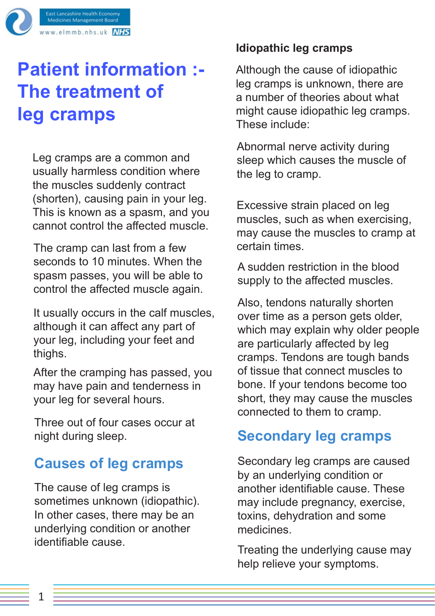

# **Patient information :- The treatment of leg cramps**

Leg cramps are a common and usually harmless condition where the muscles suddenly contract (shorten), causing pain in your leg. This is known as a spasm, and you cannot control the affected muscle.

The cramp can last from a few seconds to 10 minutes. When the spasm passes, you will be able to control the affected muscle again.

It usually occurs in the calf muscles, although it can affect any part of your leg, including your feet and thighs.

After the cramping has passed, you may have pain and tenderness in your leg for several hours.

Three out of four cases occur at night during sleep.

## **Causes of leg cramps**

The cause of leg cramps is sometimes unknown (idiopathic). In other cases, there may be an underlying condition or another identifiable cause.

#### **Idiopathic leg cramps**

Although the cause of idiopathic leg cramps is unknown, there are a number of theories about what might cause idiopathic leg cramps. These include:

Abnormal nerve activity during sleep which causes the muscle of the leg to cramp.

Excessive strain placed on leg muscles, such as when exercising, may cause the muscles to cramp at certain times.

A sudden restriction in the blood supply to the affected muscles.

Also, tendons naturally shorten over time as a person gets older, which may explain why older people are particularly affected by leg cramps. Tendons are tough bands of tissue that connect muscles to bone. If your tendons become too short, they may cause the muscles connected to them to cramp.

## **Secondary leg cramps**

Secondary leg cramps are caused by an underlying condition or another identifiable cause. These may include pregnancy, exercise, toxins, dehydration and some medicines.

Treating the underlying cause may help relieve your symptoms.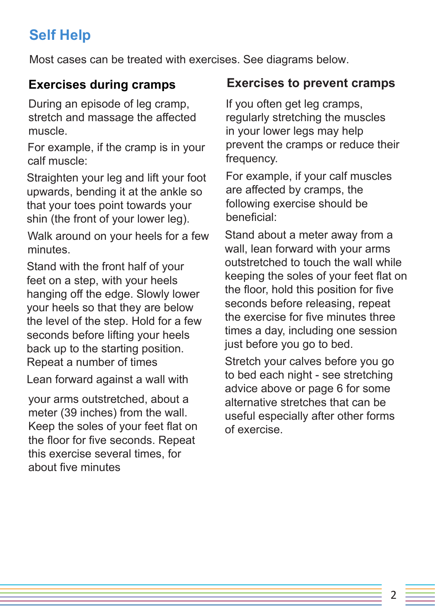## **Self Help**

Most cases can be treated with exercises. See diagrams below.

### **Exercises during cramps**

During an episode of leg cramp, stretch and massage the affected muscle.

For example, if the cramp is in your calf muscle:

Straighten your leg and lift your foot upwards, bending it at the ankle so that your toes point towards your shin (the front of your lower leg).

Walk around on your heels for a few minutes.

Stand with the front half of your feet on a step, with your heels hanging off the edge. Slowly lower your heels so that they are below the level of the step. Hold for a few seconds before lifting your heels back up to the starting position. Repeat a number of times

Lean forward against a wall with

your arms outstretched, about a meter (39 inches) from the wall. Keep the soles of your feet flat on the floor for five seconds. Repeat this exercise several times, for about five minutes

#### **Exercises to prevent cramps**

If you often get leg cramps, regularly stretching the muscles in your lower legs may help prevent the cramps or reduce their frequency.

For example, if your calf muscles are affected by cramps, the following exercise should be beneficial:

Stand about a meter away from a wall, lean forward with your arms outstretched to touch the wall while keeping the soles of your feet flat on the floor, hold this position for five seconds before releasing, repeat the exercise for five minutes three times a day, including one session just before you go to bed.

Stretch your calves before you go to bed each night - see stretching advice above or page 6 for some alternative stretches that can be useful especially after other forms of exercise.

2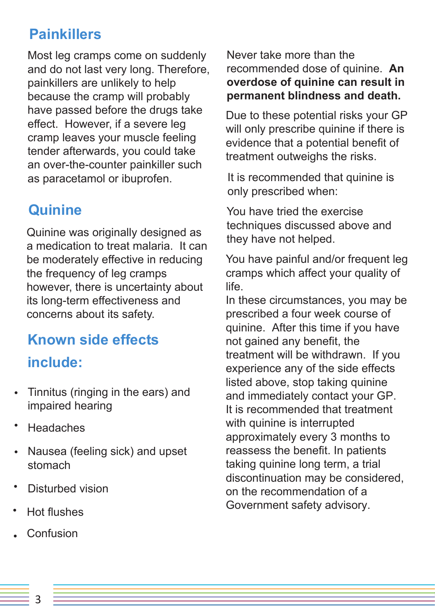## **Painkillers**

Most leg cramps come on suddenly and do not last very long. Therefore, painkillers are unlikely to help because the cramp will probably have passed before the drugs take effect. However, if a severe leg cramp leaves your muscle feeling tender afterwards, you could take an over-the-counter painkiller such as paracetamol or ibuprofen.

## **Quinine**

Quinine was originally designed as a medication to treat malaria. It can be moderately effective in reducing the frequency of leg cramps however, there is uncertainty about its long-term effectiveness and concerns about its safety.

## **Known side effects**

### **include:**

- Tinnitus (ringing in the ears) and impaired hearing
- Headaches
- Nausea (feeling sick) and upset stomach
- Disturbed vision
- Hot flushes
- Confusion

Never take more than the recommended dose of quinine. **An overdose of quinine can result in permanent blindness and death.**

Due to these potential risks your GP will only prescribe quinine if there is evidence that a potential benefit of treatment outweighs the risks.

It is recommended that quinine is only prescribed when:

You have tried the exercise techniques discussed above and they have not helped.

You have painful and/or frequent leg cramps which affect your quality of life.

In these circumstances, you may be prescribed a four week course of quinine. After this time if you have not gained any benefit, the treatment will be withdrawn. If you experience any of the side effects listed above, stop taking quinine and immediately contact your GP. It is recommended that treatment with quinine is interrupted approximately every 3 months to reassess the benefit. In patients taking quinine long term, a trial discontinuation may be considered, on the recommendation of a Government safety advisory.

3